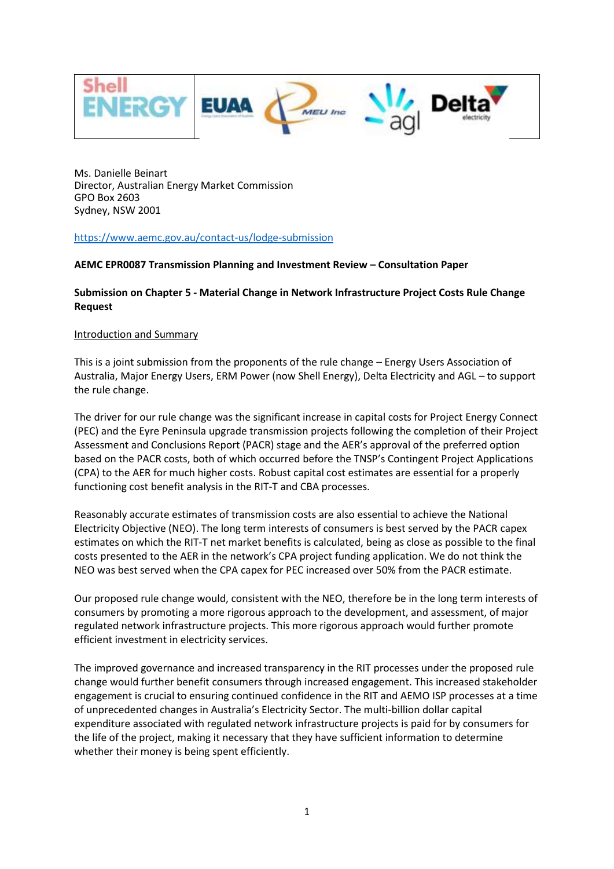

Ms. Danielle Beinart Director, Australian Energy Market Commission GPO Box 2603 Sydney, NSW 2001

<https://www.aemc.gov.au/contact-us/lodge-submission>

### **AEMC EPR0087 Transmission Planning and Investment Review – Consultation Paper**

### **Submission on Chapter 5 - Material Change in Network Infrastructure Project Costs Rule Change Request**

#### Introduction and Summary

This is a joint submission from the proponents of the rule change – Energy Users Association of Australia, Major Energy Users, ERM Power (now Shell Energy), Delta Electricity and AGL – to support the rule change.

The driver for our rule change was the significant increase in capital costs for Project Energy Connect (PEC) and the Eyre Peninsula upgrade transmission projects following the completion of their Project Assessment and Conclusions Report (PACR) stage and the AER's approval of the preferred option based on the PACR costs, both of which occurred before the TNSP's Contingent Project Applications (CPA) to the AER for much higher costs. Robust capital cost estimates are essential for a properly functioning cost benefit analysis in the RIT-T and CBA processes.

Reasonably accurate estimates of transmission costs are also essential to achieve the National Electricity Objective (NEO). The long term interests of consumers is best served by the PACR capex estimates on which the RIT-T net market benefits is calculated, being as close as possible to the final costs presented to the AER in the network's CPA project funding application. We do not think the NEO was best served when the CPA capex for PEC increased over 50% from the PACR estimate.

Our proposed rule change would, consistent with the NEO, therefore be in the long term interests of consumers by promoting a more rigorous approach to the development, and assessment, of major regulated network infrastructure projects. This more rigorous approach would further promote efficient investment in electricity services.

The improved governance and increased transparency in the RIT processes under the proposed rule change would further benefit consumers through increased engagement. This increased stakeholder engagement is crucial to ensuring continued confidence in the RIT and AEMO ISP processes at a time of unprecedented changes in Australia's Electricity Sector. The multi-billion dollar capital expenditure associated with regulated network infrastructure projects is paid for by consumers for the life of the project, making it necessary that they have sufficient information to determine whether their money is being spent efficiently.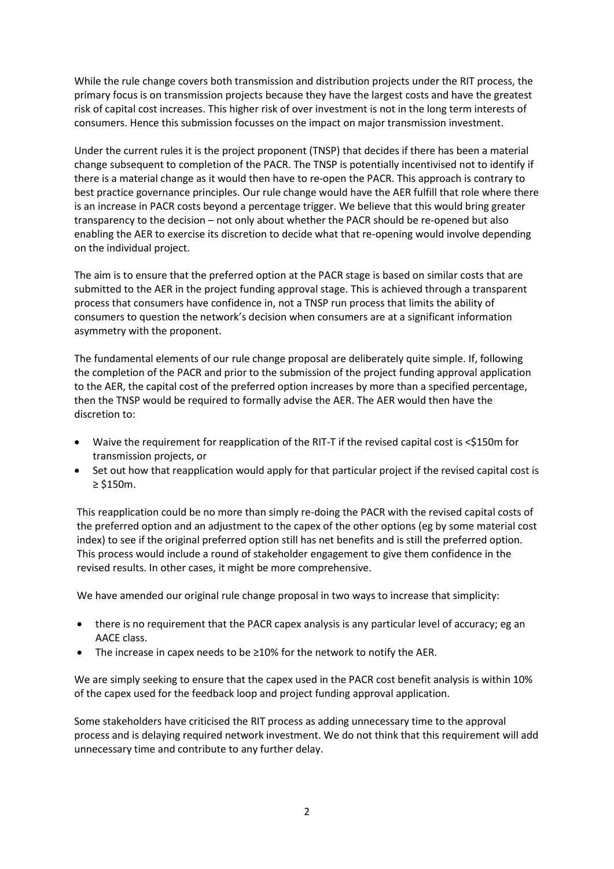While the rule change covers both transmission and distribution projects under the RIT process, the primary focus is on transmission projects because they have the largest costs and have the greatest risk of capital cost increases. This higher risk of over investment is not in the long term interests of consumers. Hence this submission focusses on the impact on major transmission investment.

Under the current rules it is the project proponent (TNSP) that decides if there has been a material change subsequent to completion of the PACR. The TNSP is potentially incentivised not to identify if there is a material change as it would then have to re-open the PACR. This approach is contrary to best practice governance principles. Our rule change would have the AER fulfill that role where there is an increase in PACR costs beyond a percentage trigger. We believe that this would bring greater transparency to the decision – not only about whether the PACR should be re-opened but also enabling the AER to exercise its discretion to decide what that re-opening would involve depending on the individual project.

The aim is to ensure that the preferred option at the PACR stage is based on similar costs that are submitted to the AER in the project funding approval stage. This is achieved through a transparent process that consumers have confidence in, not a TNSP run process that limits the ability of consumers to question the network's decision when consumers are at a significant information asymmetry with the proponent.

The fundamental elements of our rule change proposal are deliberately quite simple. If, following the completion of the PACR and prior to the submission of the project funding approval application to the AER, the capital cost of the preferred option increases by more than a specified percentage, then the TNSP would be required to formally advise the AER. The AER would then have the discretion to:

- Waive the requirement for reapplication of the RIT-T if the revised capital cost is <\$150m for transmission projects, or
- Set out how that reapplication would apply for that particular project if the revised capital cost is ≥ \$150m.

This reapplication could be no more than simply re-doing the PACR with the revised capital costs of the preferred option and an adjustment to the capex of the other options (eg by some material cost index) to see if the original preferred option still has net benefits and is still the preferred option. This process would include a round of stakeholder engagement to give them confidence in the revised results. In other cases, it might be more comprehensive.

We have amended our original rule change proposal in two ways to increase that simplicity:

- there is no requirement that the PACR capex analysis is any particular level of accuracy; eg an AACE class.
- The increase in capex needs to be ≥10% for the network to notify the AER.

We are simply seeking to ensure that the capex used in the PACR cost benefit analysis is within 10% of the capex used for the feedback loop and project funding approval application.

Some stakeholders have criticised the RIT process as adding unnecessary time to the approval process and is delaying required network investment. We do not think that this requirement will add unnecessary time and contribute to any further delay.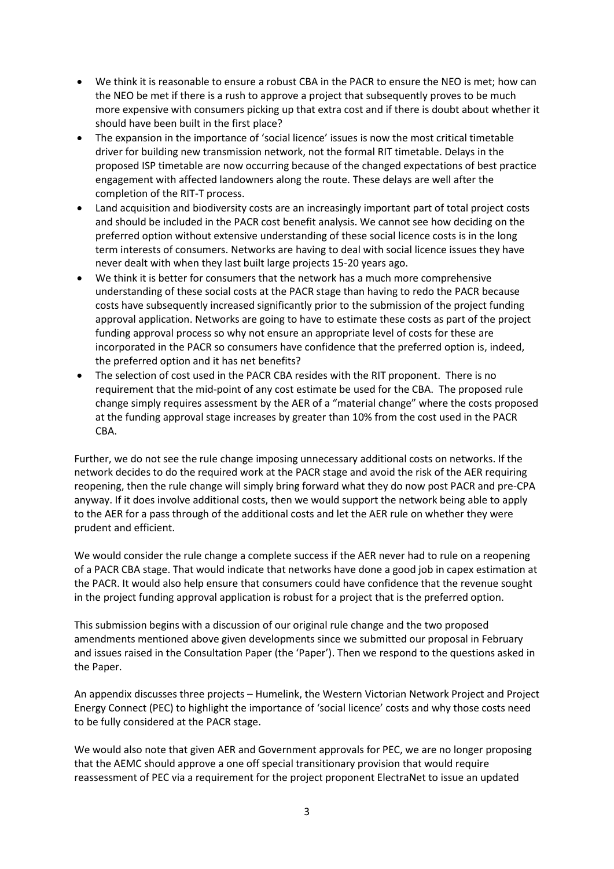- We think it is reasonable to ensure a robust CBA in the PACR to ensure the NEO is met; how can the NEO be met if there is a rush to approve a project that subsequently proves to be much more expensive with consumers picking up that extra cost and if there is doubt about whether it should have been built in the first place?
- The expansion in the importance of 'social licence' issues is now the most critical timetable driver for building new transmission network, not the formal RIT timetable. Delays in the proposed ISP timetable are now occurring because of the changed expectations of best practice engagement with affected landowners along the route. These delays are well after the completion of the RIT-T process.
- Land acquisition and biodiversity costs are an increasingly important part of total project costs and should be included in the PACR cost benefit analysis. We cannot see how deciding on the preferred option without extensive understanding of these social licence costs is in the long term interests of consumers. Networks are having to deal with social licence issues they have never dealt with when they last built large projects 15-20 years ago.
- We think it is better for consumers that the network has a much more comprehensive understanding of these social costs at the PACR stage than having to redo the PACR because costs have subsequently increased significantly prior to the submission of the project funding approval application. Networks are going to have to estimate these costs as part of the project funding approval process so why not ensure an appropriate level of costs for these are incorporated in the PACR so consumers have confidence that the preferred option is, indeed, the preferred option and it has net benefits?
- The selection of cost used in the PACR CBA resides with the RIT proponent. There is no requirement that the mid-point of any cost estimate be used for the CBA. The proposed rule change simply requires assessment by the AER of a "material change" where the costs proposed at the funding approval stage increases by greater than 10% from the cost used in the PACR CBA.

Further, we do not see the rule change imposing unnecessary additional costs on networks. If the network decides to do the required work at the PACR stage and avoid the risk of the AER requiring reopening, then the rule change will simply bring forward what they do now post PACR and pre-CPA anyway. If it does involve additional costs, then we would support the network being able to apply to the AER for a pass through of the additional costs and let the AER rule on whether they were prudent and efficient.

We would consider the rule change a complete success if the AER never had to rule on a reopening of a PACR CBA stage. That would indicate that networks have done a good job in capex estimation at the PACR. It would also help ensure that consumers could have confidence that the revenue sought in the project funding approval application is robust for a project that is the preferred option.

This submission begins with a discussion of our original rule change and the two proposed amendments mentioned above given developments since we submitted our proposal in February and issues raised in the Consultation Paper (the 'Paper'). Then we respond to the questions asked in the Paper.

An appendix discusses three projects – Humelink, the Western Victorian Network Project and Project Energy Connect (PEC) to highlight the importance of 'social licence' costs and why those costs need to be fully considered at the PACR stage.

We would also note that given AER and Government approvals for PEC, we are no longer proposing that the AEMC should approve a one off special transitionary provision that would require reassessment of PEC via a requirement for the project proponent ElectraNet to issue an updated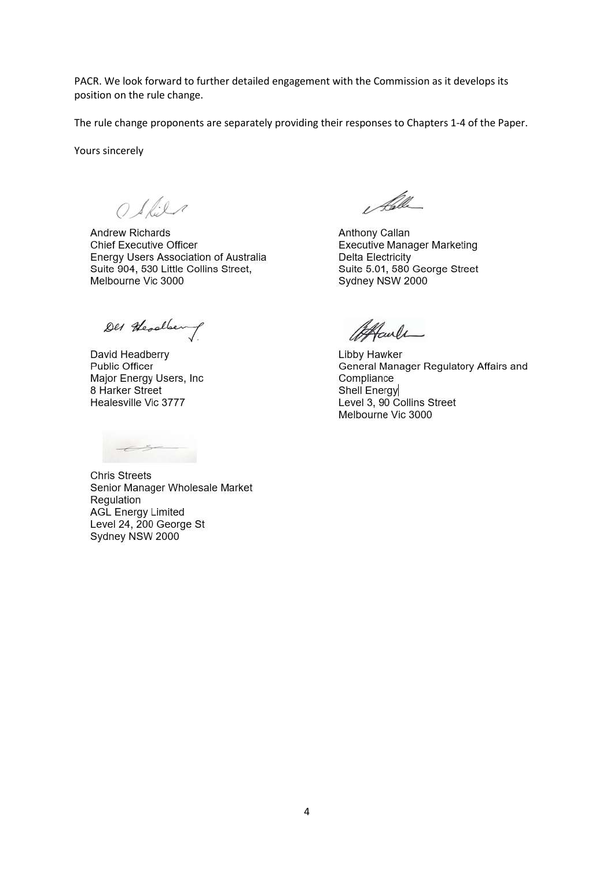PACR. We look forward to further detailed engagement with the Commission as it develops its position on the rule change.

The rule change proponents are separately providing their responses to Chapters 1-4 of the Paper.

Yours sincerely

 $O$  Slile

**Andrew Richards Chief Executive Officer** Energy Users Association of Australia Suite 904, 530 Little Collins Street, Melbourne Vic 3000

Des Headlen

David Headberry **Public Officer** Major Energy Users, Inc. 8 Harker Street Healesville Vic 3777

**Chris Streets** Senior Manager Wholesale Market Regulation **AGL Energy Limited** Level 24, 200 George St Sydney NSW 2000

Alle

Anthony Callan Executive Manager Marketing **Delta Electricity** Suite 5.01, 580 George Street Sydney NSW 2000

Alcule

Libby Hawker General Manager Regulatory Affairs and Compliance Shell Energy Level 3, 90 Collins Street Melbourne Vic 3000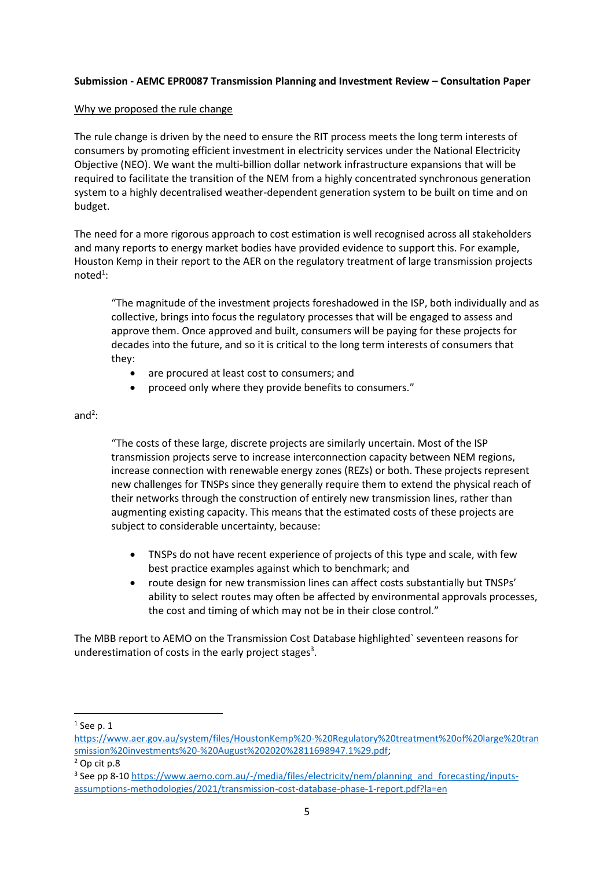### **Submission - AEMC EPR0087 Transmission Planning and Investment Review – Consultation Paper**

#### Why we proposed the rule change

The rule change is driven by the need to ensure the RIT process meets the long term interests of consumers by promoting efficient investment in electricity services under the National Electricity Objective (NEO). We want the multi-billion dollar network infrastructure expansions that will be required to facilitate the transition of the NEM from a highly concentrated synchronous generation system to a highly decentralised weather-dependent generation system to be built on time and on budget.

The need for a more rigorous approach to cost estimation is well recognised across all stakeholders and many reports to energy market bodies have provided evidence to support this. For example, Houston Kemp in their report to the AER on the regulatory treatment of large transmission projects noted<sup>1</sup>:

"The magnitude of the investment projects foreshadowed in the ISP, both individually and as collective, brings into focus the regulatory processes that will be engaged to assess and approve them. Once approved and built, consumers will be paying for these projects for decades into the future, and so it is critical to the long term interests of consumers that they:

- are procured at least cost to consumers; and
- proceed only where they provide benefits to consumers."

## and $2$ :

"The costs of these large, discrete projects are similarly uncertain. Most of the ISP transmission projects serve to increase interconnection capacity between NEM regions, increase connection with renewable energy zones (REZs) or both. These projects represent new challenges for TNSPs since they generally require them to extend the physical reach of their networks through the construction of entirely new transmission lines, rather than augmenting existing capacity. This means that the estimated costs of these projects are subject to considerable uncertainty, because:

- TNSPs do not have recent experience of projects of this type and scale, with few best practice examples against which to benchmark; and
- route design for new transmission lines can affect costs substantially but TNSPs' ability to select routes may often be affected by environmental approvals processes, the cost and timing of which may not be in their close control."

The MBB report to AEMO on the Transmission Cost Database highlighted` seventeen reasons for underestimation of costs in the early project stages<sup>3</sup>.

 $<sup>1</sup>$  See p. 1</sup>

[https://www.aer.gov.au/system/files/HoustonKemp%20-%20Regulatory%20treatment%20of%20large%20tran](https://www.aer.gov.au/system/files/HoustonKemp%20-%20Regulatory%20treatment%20of%20large%20transmission%20investments%20-%20August%202020%2811698947.1%29.pdf) [smission%20investments%20-%20August%202020%2811698947.1%29.pdf;](https://www.aer.gov.au/system/files/HoustonKemp%20-%20Regulatory%20treatment%20of%20large%20transmission%20investments%20-%20August%202020%2811698947.1%29.pdf)

<sup>2</sup> Op cit p.8

<sup>&</sup>lt;sup>3</sup> See pp 8-1[0 https://www.aemo.com.au/-/media/files/electricity/nem/planning\\_and\\_forecasting/inputs](https://www.aemo.com.au/-/media/files/electricity/nem/planning_and_forecasting/inputs-assumptions-methodologies/2021/transmission-cost-database-phase-1-report.pdf?la=en)[assumptions-methodologies/2021/transmission-cost-database-phase-1-report.pdf?la=en](https://www.aemo.com.au/-/media/files/electricity/nem/planning_and_forecasting/inputs-assumptions-methodologies/2021/transmission-cost-database-phase-1-report.pdf?la=en)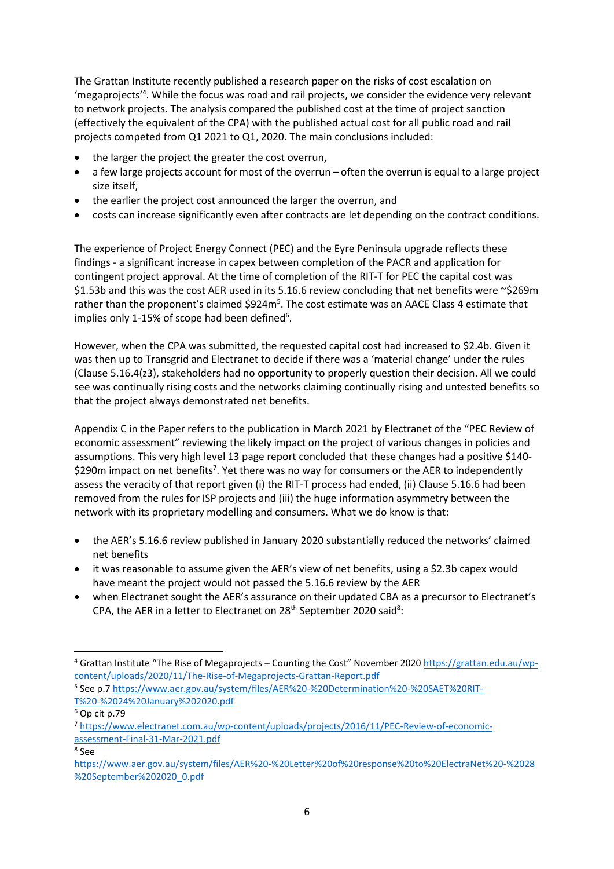The Grattan Institute recently published a research paper on the risks of cost escalation on 'megaprojects'<sup>4</sup>. While the focus was road and rail projects, we consider the evidence very relevant to network projects. The analysis compared the published cost at the time of project sanction (effectively the equivalent of the CPA) with the published actual cost for all public road and rail projects competed from Q1 2021 to Q1, 2020. The main conclusions included:

- the larger the project the greater the cost overrun,
- a few large projects account for most of the overrun often the overrun is equal to a large project size itself,
- the earlier the project cost announced the larger the overrun, and
- costs can increase significantly even after contracts are let depending on the contract conditions.

The experience of Project Energy Connect (PEC) and the Eyre Peninsula upgrade reflects these findings - a significant increase in capex between completion of the PACR and application for contingent project approval. At the time of completion of the RIT-T for PEC the capital cost was \$1.53b and this was the cost AER used in its 5.16.6 review concluding that net benefits were ~\$269m rather than the proponent's claimed \$924m<sup>5</sup>. The cost estimate was an AACE Class 4 estimate that implies only 1-15% of scope had been defined<sup>6</sup>.

However, when the CPA was submitted, the requested capital cost had increased to \$2.4b. Given it was then up to Transgrid and Electranet to decide if there was a 'material change' under the rules (Clause 5.16.4(z3), stakeholders had no opportunity to properly question their decision. All we could see was continually rising costs and the networks claiming continually rising and untested benefits so that the project always demonstrated net benefits.

Appendix C in the Paper refers to the publication in March 2021 by Electranet of the "PEC Review of economic assessment" reviewing the likely impact on the project of various changes in policies and assumptions. This very high level 13 page report concluded that these changes had a positive \$140- \$290m impact on net benefits<sup>7</sup>. Yet there was no way for consumers or the AER to independently assess the veracity of that report given (i) the RIT-T process had ended, (ii) Clause 5.16.6 had been removed from the rules for ISP projects and (iii) the huge information asymmetry between the network with its proprietary modelling and consumers. What we do know is that:

- the AER's 5.16.6 review published in January 2020 substantially reduced the networks' claimed net benefits
- it was reasonable to assume given the AER's view of net benefits, using a \$2.3b capex would have meant the project would not passed the 5.16.6 review by the AER
- when Electranet sought the AER's assurance on their updated CBA as a precursor to Electranet's CPA, the AER in a letter to Electranet on  $28<sup>th</sup>$  September 2020 said<sup>8</sup>:

<sup>&</sup>lt;sup>4</sup> Grattan Institute "The Rise of Megaprojects – Counting the Cost" November 2020 [https://grattan.edu.au/wp](https://grattan.edu.au/wp-content/uploads/2020/11/The-Rise-of-Megaprojects-Grattan-Report.pdf)[content/uploads/2020/11/The-Rise-of-Megaprojects-Grattan-Report.pdf](https://grattan.edu.au/wp-content/uploads/2020/11/The-Rise-of-Megaprojects-Grattan-Report.pdf)

<sup>&</sup>lt;sup>5</sup> See p.[7 https://www.aer.gov.au/system/files/AER%20-%20Determination%20-%20SAET%20RIT-](https://www.aer.gov.au/system/files/AER%20-%20Determination%20-%20SAET%20RIT-T%20-%2024%20January%202020.pdf)[T%20-%2024%20January%202020.pdf](https://www.aer.gov.au/system/files/AER%20-%20Determination%20-%20SAET%20RIT-T%20-%2024%20January%202020.pdf)

 $6$  Op cit p.79

<sup>7</sup> [https://www.electranet.com.au/wp-content/uploads/projects/2016/11/PEC-Review-of-economic](https://www.electranet.com.au/wp-content/uploads/projects/2016/11/PEC-Review-of-economic-assessment-Final-31-Mar-2021.pdf)[assessment-Final-31-Mar-2021.pdf](https://www.electranet.com.au/wp-content/uploads/projects/2016/11/PEC-Review-of-economic-assessment-Final-31-Mar-2021.pdf)

<sup>8</sup> See

[https://www.aer.gov.au/system/files/AER%20-%20Letter%20of%20response%20to%20ElectraNet%20-%2028](https://www.aer.gov.au/system/files/AER%20-%20Letter%20of%20response%20to%20ElectraNet%20-%2028%20September%202020_0.pdf) [%20September%202020\\_0.pdf](https://www.aer.gov.au/system/files/AER%20-%20Letter%20of%20response%20to%20ElectraNet%20-%2028%20September%202020_0.pdf)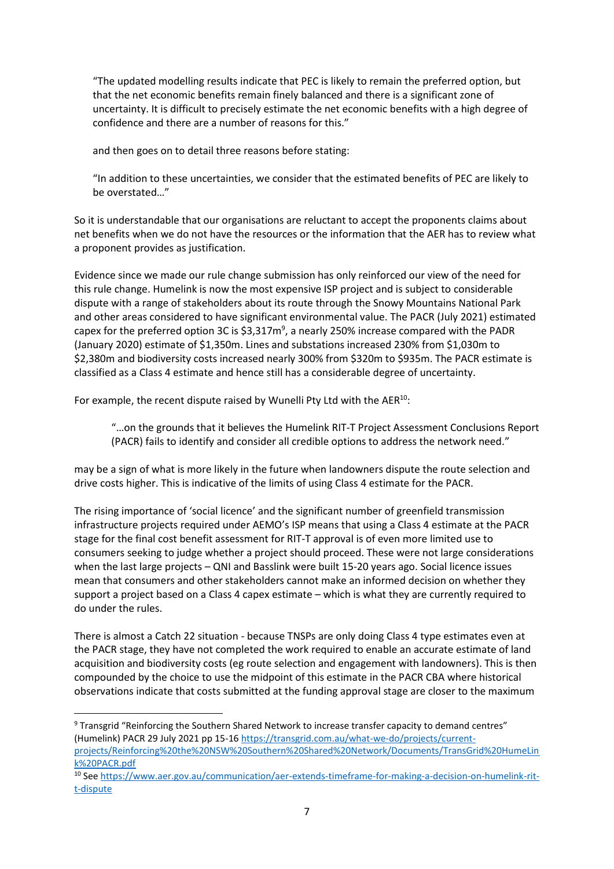"The updated modelling results indicate that PEC is likely to remain the preferred option, but that the net economic benefits remain finely balanced and there is a significant zone of uncertainty. It is difficult to precisely estimate the net economic benefits with a high degree of confidence and there are a number of reasons for this."

and then goes on to detail three reasons before stating:

"In addition to these uncertainties, we consider that the estimated benefits of PEC are likely to be overstated…"

So it is understandable that our organisations are reluctant to accept the proponents claims about net benefits when we do not have the resources or the information that the AER has to review what a proponent provides as justification.

Evidence since we made our rule change submission has only reinforced our view of the need for this rule change. Humelink is now the most expensive ISP project and is subject to considerable dispute with a range of stakeholders about its route through the Snowy Mountains National Park and other areas considered to have significant environmental value. The PACR (July 2021) estimated capex for the preferred option 3C is  $$3,317m^9$ , a nearly 250% increase compared with the PADR (January 2020) estimate of \$1,350m. Lines and substations increased 230% from \$1,030m to \$2,380m and biodiversity costs increased nearly 300% from \$320m to \$935m. The PACR estimate is classified as a Class 4 estimate and hence still has a considerable degree of uncertainty.

For example, the recent dispute raised by Wunelli Pty Ltd with the AER<sup>10</sup>:

"…on the grounds that it believes the Humelink RIT-T Project Assessment Conclusions Report (PACR) fails to identify and consider all credible options to address the network need."

may be a sign of what is more likely in the future when landowners dispute the route selection and drive costs higher. This is indicative of the limits of using Class 4 estimate for the PACR.

The rising importance of 'social licence' and the significant number of greenfield transmission infrastructure projects required under AEMO's ISP means that using a Class 4 estimate at the PACR stage for the final cost benefit assessment for RIT-T approval is of even more limited use to consumers seeking to judge whether a project should proceed. These were not large considerations when the last large projects – QNI and Basslink were built 15-20 years ago. Social licence issues mean that consumers and other stakeholders cannot make an informed decision on whether they support a project based on a Class 4 capex estimate – which is what they are currently required to do under the rules.

There is almost a Catch 22 situation - because TNSPs are only doing Class 4 type estimates even at the PACR stage, they have not completed the work required to enable an accurate estimate of land acquisition and biodiversity costs (eg route selection and engagement with landowners). This is then compounded by the choice to use the midpoint of this estimate in the PACR CBA where historical observations indicate that costs submitted at the funding approval stage are closer to the maximum

<sup>9</sup> Transgrid "Reinforcing the Southern Shared Network to increase transfer capacity to demand centres" (Humelink) PACR 29 July 2021 pp 15-16 [https://transgrid.com.au/what-we-do/projects/current](https://transgrid.com.au/what-we-do/projects/current-projects/Reinforcing%20the%20NSW%20Southern%20Shared%20Network/Documents/TransGrid%20HumeLink%20PACR.pdf)[projects/Reinforcing%20the%20NSW%20Southern%20Shared%20Network/Documents/TransGrid%20HumeLin](https://transgrid.com.au/what-we-do/projects/current-projects/Reinforcing%20the%20NSW%20Southern%20Shared%20Network/Documents/TransGrid%20HumeLink%20PACR.pdf) [k%20PACR.pdf](https://transgrid.com.au/what-we-do/projects/current-projects/Reinforcing%20the%20NSW%20Southern%20Shared%20Network/Documents/TransGrid%20HumeLink%20PACR.pdf)

<sup>10</sup> Se[e https://www.aer.gov.au/communication/aer-extends-timeframe-for-making-a-decision-on-humelink-rit](https://www.aer.gov.au/communication/aer-extends-timeframe-for-making-a-decision-on-humelink-rit-t-dispute)[t-dispute](https://www.aer.gov.au/communication/aer-extends-timeframe-for-making-a-decision-on-humelink-rit-t-dispute)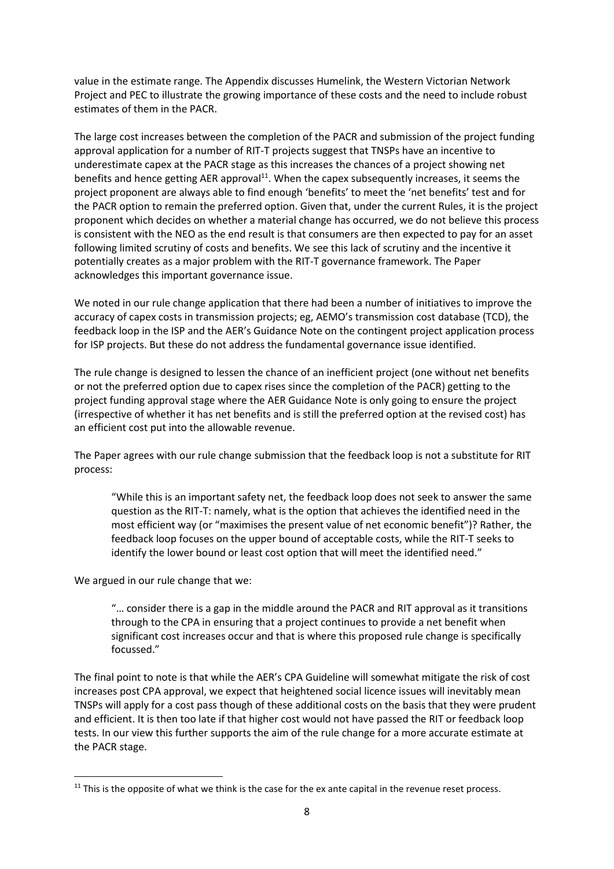value in the estimate range. The Appendix discusses Humelink, the Western Victorian Network Project and PEC to illustrate the growing importance of these costs and the need to include robust estimates of them in the PACR.

The large cost increases between the completion of the PACR and submission of the project funding approval application for a number of RIT-T projects suggest that TNSPs have an incentive to underestimate capex at the PACR stage as this increases the chances of a project showing net benefits and hence getting AER approval<sup>11</sup>. When the capex subsequently increases, it seems the project proponent are always able to find enough 'benefits' to meet the 'net benefits' test and for the PACR option to remain the preferred option. Given that, under the current Rules, it is the project proponent which decides on whether a material change has occurred, we do not believe this process is consistent with the NEO as the end result is that consumers are then expected to pay for an asset following limited scrutiny of costs and benefits. We see this lack of scrutiny and the incentive it potentially creates as a major problem with the RIT-T governance framework. The Paper acknowledges this important governance issue.

We noted in our rule change application that there had been a number of initiatives to improve the accuracy of capex costs in transmission projects; eg, AEMO's transmission cost database (TCD), the feedback loop in the ISP and the AER's Guidance Note on the contingent project application process for ISP projects. But these do not address the fundamental governance issue identified.

The rule change is designed to lessen the chance of an inefficient project (one without net benefits or not the preferred option due to capex rises since the completion of the PACR) getting to the project funding approval stage where the AER Guidance Note is only going to ensure the project (irrespective of whether it has net benefits and is still the preferred option at the revised cost) has an efficient cost put into the allowable revenue.

The Paper agrees with our rule change submission that the feedback loop is not a substitute for RIT process:

"While this is an important safety net, the feedback loop does not seek to answer the same question as the RIT-T: namely, what is the option that achieves the identified need in the most efficient way (or "maximises the present value of net economic benefit")? Rather, the feedback loop focuses on the upper bound of acceptable costs, while the RIT-T seeks to identify the lower bound or least cost option that will meet the identified need."

We argued in our rule change that we:

"… consider there is a gap in the middle around the PACR and RIT approval as it transitions through to the CPA in ensuring that a project continues to provide a net benefit when significant cost increases occur and that is where this proposed rule change is specifically focussed."

The final point to note is that while the AER's CPA Guideline will somewhat mitigate the risk of cost increases post CPA approval, we expect that heightened social licence issues will inevitably mean TNSPs will apply for a cost pass though of these additional costs on the basis that they were prudent and efficient. It is then too late if that higher cost would not have passed the RIT or feedback loop tests. In our view this further supports the aim of the rule change for a more accurate estimate at the PACR stage.

 $11$  This is the opposite of what we think is the case for the ex ante capital in the revenue reset process.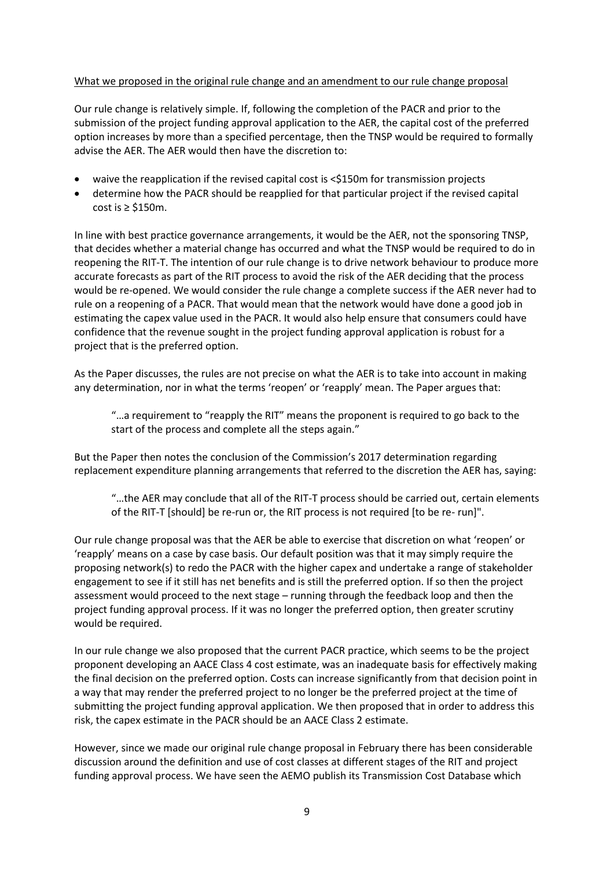### What we proposed in the original rule change and an amendment to our rule change proposal

Our rule change is relatively simple. If, following the completion of the PACR and prior to the submission of the project funding approval application to the AER, the capital cost of the preferred option increases by more than a specified percentage, then the TNSP would be required to formally advise the AER. The AER would then have the discretion to:

- waive the reapplication if the revised capital cost is <\$150m for transmission projects
- determine how the PACR should be reapplied for that particular project if the revised capital cost is ≥ \$150m.

In line with best practice governance arrangements, it would be the AER, not the sponsoring TNSP, that decides whether a material change has occurred and what the TNSP would be required to do in reopening the RIT-T. The intention of our rule change is to drive network behaviour to produce more accurate forecasts as part of the RIT process to avoid the risk of the AER deciding that the process would be re-opened. We would consider the rule change a complete success if the AER never had to rule on a reopening of a PACR. That would mean that the network would have done a good job in estimating the capex value used in the PACR. It would also help ensure that consumers could have confidence that the revenue sought in the project funding approval application is robust for a project that is the preferred option.

As the Paper discusses, the rules are not precise on what the AER is to take into account in making any determination, nor in what the terms 'reopen' or 'reapply' mean. The Paper argues that:

"…a requirement to "reapply the RIT" means the proponent is required to go back to the start of the process and complete all the steps again."

But the Paper then notes the conclusion of the Commission's 2017 determination regarding replacement expenditure planning arrangements that referred to the discretion the AER has, saying:

"…the AER may conclude that all of the RIT-T process should be carried out, certain elements of the RIT-T [should] be re-run or, the RIT process is not required [to be re- run]".

Our rule change proposal was that the AER be able to exercise that discretion on what 'reopen' or 'reapply' means on a case by case basis. Our default position was that it may simply require the proposing network(s) to redo the PACR with the higher capex and undertake a range of stakeholder engagement to see if it still has net benefits and is still the preferred option. If so then the project assessment would proceed to the next stage – running through the feedback loop and then the project funding approval process. If it was no longer the preferred option, then greater scrutiny would be required.

In our rule change we also proposed that the current PACR practice, which seems to be the project proponent developing an AACE Class 4 cost estimate, was an inadequate basis for effectively making the final decision on the preferred option. Costs can increase significantly from that decision point in a way that may render the preferred project to no longer be the preferred project at the time of submitting the project funding approval application. We then proposed that in order to address this risk, the capex estimate in the PACR should be an AACE Class 2 estimate.

However, since we made our original rule change proposal in February there has been considerable discussion around the definition and use of cost classes at different stages of the RIT and project funding approval process. We have seen the AEMO publish its Transmission Cost Database which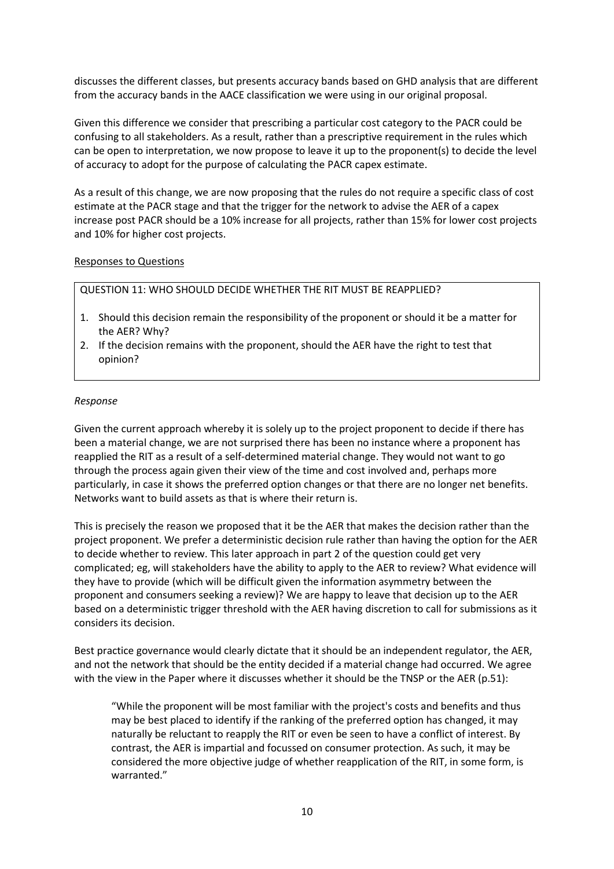discusses the different classes, but presents accuracy bands based on GHD analysis that are different from the accuracy bands in the AACE classification we were using in our original proposal.

Given this difference we consider that prescribing a particular cost category to the PACR could be confusing to all stakeholders. As a result, rather than a prescriptive requirement in the rules which can be open to interpretation, we now propose to leave it up to the proponent(s) to decide the level of accuracy to adopt for the purpose of calculating the PACR capex estimate.

As a result of this change, we are now proposing that the rules do not require a specific class of cost estimate at the PACR stage and that the trigger for the network to advise the AER of a capex increase post PACR should be a 10% increase for all projects, rather than 15% for lower cost projects and 10% for higher cost projects.

#### Responses to Questions

QUESTION 11: WHO SHOULD DECIDE WHETHER THE RIT MUST BE REAPPLIED?

- 1. Should this decision remain the responsibility of the proponent or should it be a matter for the AER? Why?
- 2. If the decision remains with the proponent, should the AER have the right to test that opinion?

#### *Response*

Given the current approach whereby it is solely up to the project proponent to decide if there has been a material change, we are not surprised there has been no instance where a proponent has reapplied the RIT as a result of a self-determined material change. They would not want to go through the process again given their view of the time and cost involved and, perhaps more particularly, in case it shows the preferred option changes or that there are no longer net benefits. Networks want to build assets as that is where their return is.

This is precisely the reason we proposed that it be the AER that makes the decision rather than the project proponent. We prefer a deterministic decision rule rather than having the option for the AER to decide whether to review. This later approach in part 2 of the question could get very complicated; eg, will stakeholders have the ability to apply to the AER to review? What evidence will they have to provide (which will be difficult given the information asymmetry between the proponent and consumers seeking a review)? We are happy to leave that decision up to the AER based on a deterministic trigger threshold with the AER having discretion to call for submissions as it considers its decision.

Best practice governance would clearly dictate that it should be an independent regulator, the AER, and not the network that should be the entity decided if a material change had occurred. We agree with the view in the Paper where it discusses whether it should be the TNSP or the AER (p.51):

"While the proponent will be most familiar with the project's costs and benefits and thus may be best placed to identify if the ranking of the preferred option has changed, it may naturally be reluctant to reapply the RIT or even be seen to have a conflict of interest. By contrast, the AER is impartial and focussed on consumer protection. As such, it may be considered the more objective judge of whether reapplication of the RIT, in some form, is warranted."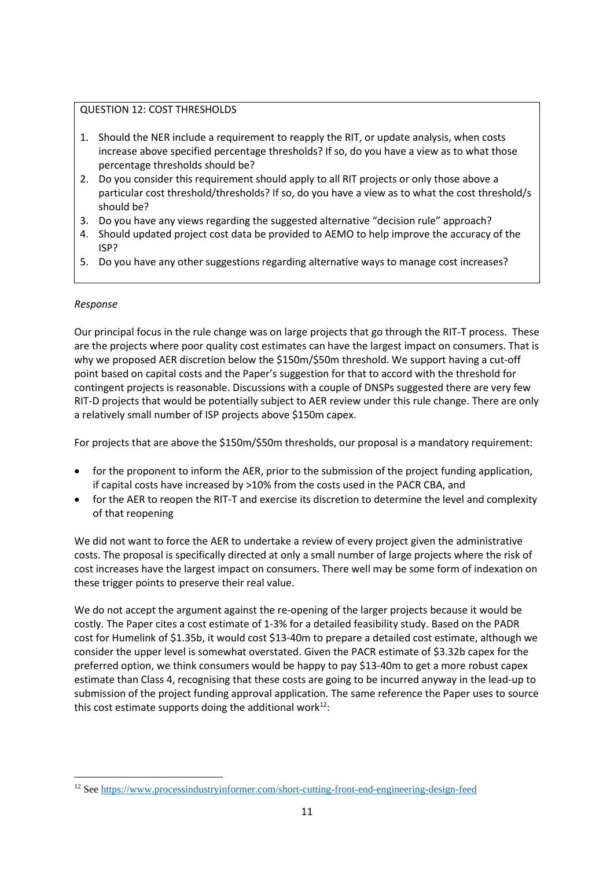# QUESTION 12: COST THRESHOLDS

- 1. Should the NER include a requirement to reapply the RIT, or update analysis, when costs increase above specified percentage thresholds? If so, do you have a view as to what those percentage thresholds should be?
- 2. Do you consider this requirement should apply to all RIT projects or only those above a particular cost threshold/thresholds? If so, do you have a view as to what the cost threshold/s should be?
- 3. Do you have any views regarding the suggested alternative "decision rule" approach?
- 4. Should updated project cost data be provided to AEMO to help improve the accuracy of the ISP?
- 5. Do you have any other suggestions regarding alternative ways to manage cost increases?

## *Response*

Our principal focus in the rule change was on large projects that go through the RIT-T process. These are the projects where poor quality cost estimates can have the largest impact on consumers. That is why we proposed AER discretion below the \$150m/\$50m threshold. We support having a cut-off point based on capital costs and the Paper's suggestion for that to accord with the threshold for contingent projects is reasonable. Discussions with a couple of DNSPs suggested there are very few RIT-D projects that would be potentially subject to AER review under this rule change. There are only a relatively small number of ISP projects above \$150m capex.

For projects that are above the \$150m/\$50m thresholds, our proposal is a mandatory requirement:

- for the proponent to inform the AER, prior to the submission of the project funding application, if capital costs have increased by >10% from the costs used in the PACR CBA, and
- for the AER to reopen the RIT-T and exercise its discretion to determine the level and complexity of that reopening

We did not want to force the AER to undertake a review of every project given the administrative costs. The proposal is specifically directed at only a small number of large projects where the risk of cost increases have the largest impact on consumers. There well may be some form of indexation on these trigger points to preserve their real value.

We do not accept the argument against the re-opening of the larger projects because it would be costly. The Paper cites a cost estimate of 1-3% for a detailed feasibility study. Based on the PADR cost for Humelink of \$1.35b, it would cost \$13-40m to prepare a detailed cost estimate, although we consider the upper level is somewhat overstated. Given the PACR estimate of \$3.32b capex for the preferred option, we think consumers would be happy to pay \$13-40m to get a more robust capex estimate than Class 4, recognising that these costs are going to be incurred anyway in the lead-up to submission of the project funding approval application. The same reference the Paper uses to source this cost estimate supports doing the additional work $12$ :

<sup>12</sup> See<https://www.processindustryinformer.com/short-cutting-front-end-engineering-design-feed>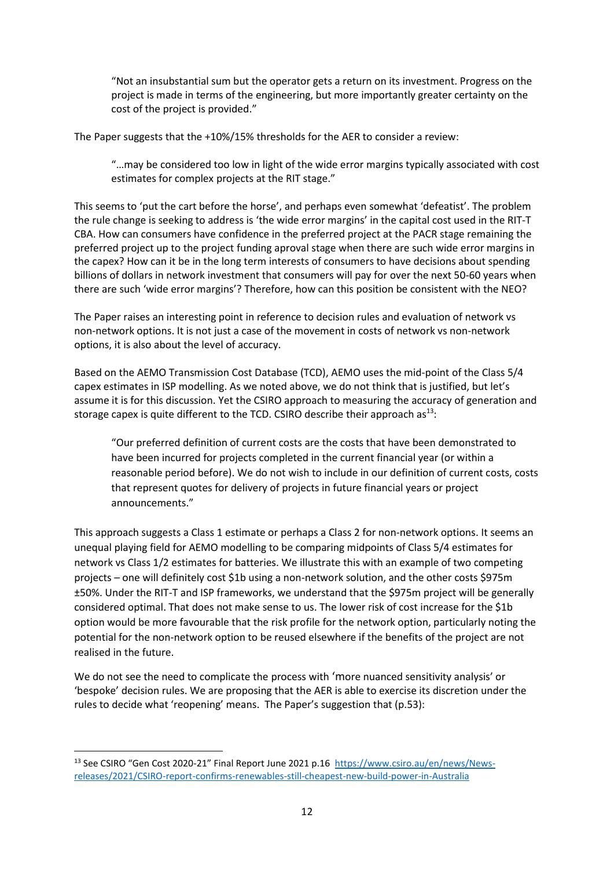"Not an insubstantial sum but the operator gets a return on its investment. Progress on the project is made in terms of the engineering, but more importantly greater certainty on the cost of the project is provided."

The Paper suggests that the +10%/15% thresholds for the AER to consider a review:

"…may be considered too low in light of the wide error margins typically associated with cost estimates for complex projects at the RIT stage."

This seems to 'put the cart before the horse', and perhaps even somewhat 'defeatist'. The problem the rule change is seeking to address is 'the wide error margins' in the capital cost used in the RIT-T CBA. How can consumers have confidence in the preferred project at the PACR stage remaining the preferred project up to the project funding aproval stage when there are such wide error margins in the capex? How can it be in the long term interests of consumers to have decisions about spending billions of dollars in network investment that consumers will pay for over the next 50-60 years when there are such 'wide error margins'? Therefore, how can this position be consistent with the NEO?

The Paper raises an interesting point in reference to decision rules and evaluation of network vs non-network options. It is not just a case of the movement in costs of network vs non-network options, it is also about the level of accuracy.

Based on the AEMO Transmission Cost Database (TCD), AEMO uses the mid-point of the Class 5/4 capex estimates in ISP modelling. As we noted above, we do not think that is justified, but let's assume it is for this discussion. Yet the CSIRO approach to measuring the accuracy of generation and storage capex is quite different to the TCD. CSIRO describe their approach as $^{13}$ :

"Our preferred definition of current costs are the costs that have been demonstrated to have been incurred for projects completed in the current financial year (or within a reasonable period before). We do not wish to include in our definition of current costs, costs that represent quotes for delivery of projects in future financial years or project announcements."

This approach suggests a Class 1 estimate or perhaps a Class 2 for non-network options. It seems an unequal playing field for AEMO modelling to be comparing midpoints of Class 5/4 estimates for network vs Class 1/2 estimates for batteries. We illustrate this with an example of two competing projects – one will definitely cost \$1b using a non-network solution, and the other costs \$975m ±50%. Under the RIT-T and ISP frameworks, we understand that the \$975m project will be generally considered optimal. That does not make sense to us. The lower risk of cost increase for the \$1b option would be more favourable that the risk profile for the network option, particularly noting the potential for the non-network option to be reused elsewhere if the benefits of the project are not realised in the future.

We do not see the need to complicate the process with 'more nuanced sensitivity analysis' or 'bespoke' decision rules. We are proposing that the AER is able to exercise its discretion under the rules to decide what 'reopening' means. The Paper's suggestion that (p.53):

<sup>&</sup>lt;sup>13</sup> See CSIRO "Gen Cost 2020-21" Final Report June 2021 p.16 [https://www.csiro.au/en/news/News](https://www.csiro.au/en/news/News-releases/2021/CSIRO-report-confirms-renewables-still-cheapest-new-build-power-in-Australia)[releases/2021/CSIRO-report-confirms-renewables-still-cheapest-new-build-power-in-Australia](https://www.csiro.au/en/news/News-releases/2021/CSIRO-report-confirms-renewables-still-cheapest-new-build-power-in-Australia)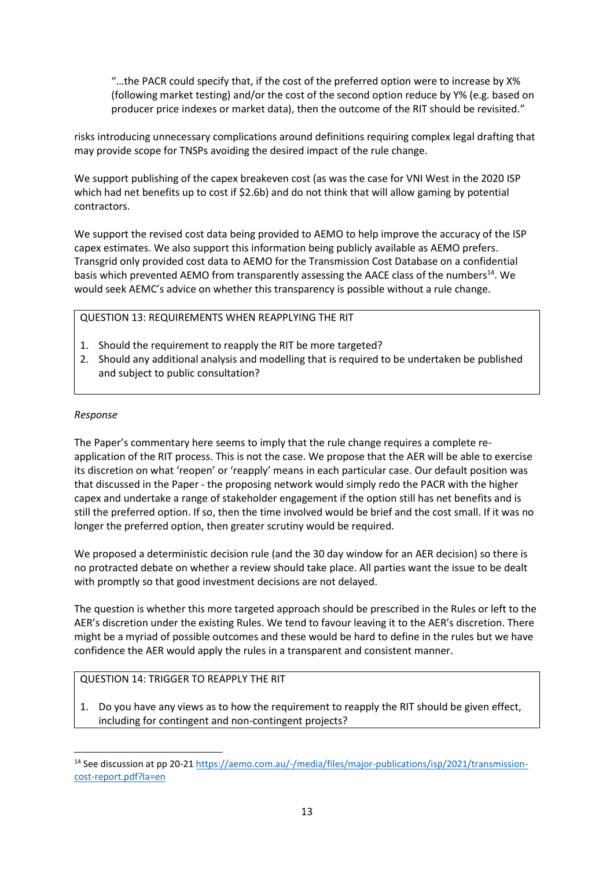"…the PACR could specify that, if the cost of the preferred option were to increase by X% (following market testing) and/or the cost of the second option reduce by Y% (e.g. based on producer price indexes or market data), then the outcome of the RIT should be revisited."

risks introducing unnecessary complications around definitions requiring complex legal drafting that may provide scope for TNSPs avoiding the desired impact of the rule change.

We support publishing of the capex breakeven cost (as was the case for VNI West in the 2020 ISP which had net benefits up to cost if \$2.6b) and do not think that will allow gaming by potential contractors.

We support the revised cost data being provided to AEMO to help improve the accuracy of the ISP capex estimates. We also support this information being publicly available as AEMO prefers. Transgrid only provided cost data to AEMO for the Transmission Cost Database on a confidential basis which prevented AEMO from transparently assessing the AACE class of the numbers<sup>14</sup>. We would seek AEMC's advice on whether this transparency is possible without a rule change.

## QUESTION 13: REQUIREMENTS WHEN REAPPLYING THE RIT

- 1. Should the requirement to reapply the RIT be more targeted?
- 2. Should any additional analysis and modelling that is required to be undertaken be published and subject to public consultation?

### *Response*

The Paper's commentary here seems to imply that the rule change requires a complete reapplication of the RIT process. This is not the case. We propose that the AER will be able to exercise its discretion on what 'reopen' or 'reapply' means in each particular case. Our default position was that discussed in the Paper - the proposing network would simply redo the PACR with the higher capex and undertake a range of stakeholder engagement if the option still has net benefits and is still the preferred option. If so, then the time involved would be brief and the cost small. If it was no longer the preferred option, then greater scrutiny would be required.

We proposed a deterministic decision rule (and the 30 day window for an AER decision) so there is no protracted debate on whether a review should take place. All parties want the issue to be dealt with promptly so that good investment decisions are not delayed.

The question is whether this more targeted approach should be prescribed in the Rules or left to the AER's discretion under the existing Rules. We tend to favour leaving it to the AER's discretion. There might be a myriad of possible outcomes and these would be hard to define in the rules but we have confidence the AER would apply the rules in a transparent and consistent manner.

### QUESTION 14: TRIGGER TO REAPPLY THE RIT

1. Do you have any views as to how the requirement to reapply the RIT should be given effect, including for contingent and non-contingent projects?

<sup>14</sup> See discussion at pp 20-21 [https://aemo.com.au/-/media/files/major-publications/isp/2021/transmission](https://aemo.com.au/-/media/files/major-publications/isp/2021/transmission-cost-report.pdf?la=en)[cost-report.pdf?la=en](https://aemo.com.au/-/media/files/major-publications/isp/2021/transmission-cost-report.pdf?la=en)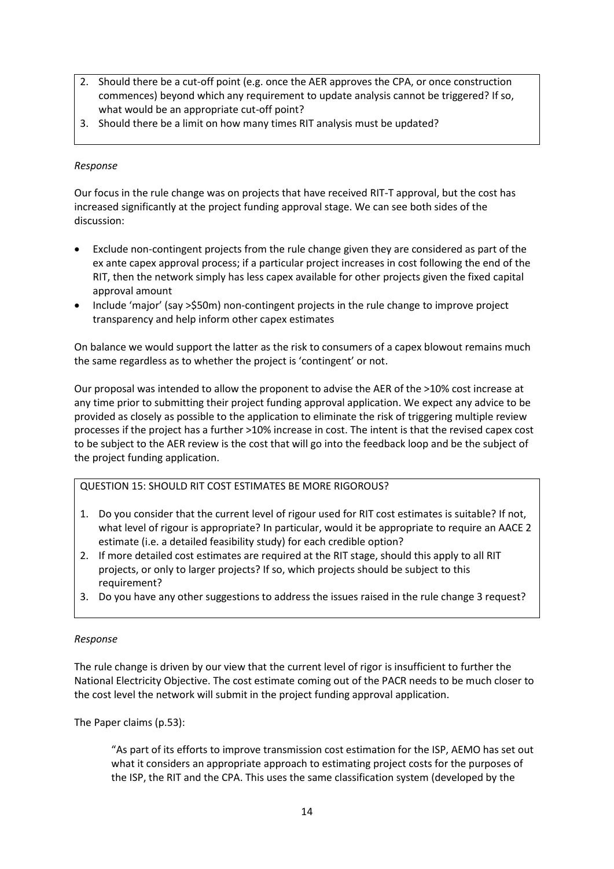- 2. Should there be a cut-off point (e.g. once the AER approves the CPA, or once construction commences) beyond which any requirement to update analysis cannot be triggered? If so, what would be an appropriate cut-off point?
- 3. Should there be a limit on how many times RIT analysis must be updated?

## *Response*

Our focus in the rule change was on projects that have received RIT-T approval, but the cost has increased significantly at the project funding approval stage. We can see both sides of the discussion:

- Exclude non-contingent projects from the rule change given they are considered as part of the ex ante capex approval process; if a particular project increases in cost following the end of the RIT, then the network simply has less capex available for other projects given the fixed capital approval amount
- Include 'major' (say >\$50m) non-contingent projects in the rule change to improve project transparency and help inform other capex estimates

On balance we would support the latter as the risk to consumers of a capex blowout remains much the same regardless as to whether the project is 'contingent' or not.

Our proposal was intended to allow the proponent to advise the AER of the >10% cost increase at any time prior to submitting their project funding approval application. We expect any advice to be provided as closely as possible to the application to eliminate the risk of triggering multiple review processes if the project has a further >10% increase in cost. The intent is that the revised capex cost to be subject to the AER review is the cost that will go into the feedback loop and be the subject of the project funding application.

### QUESTION 15: SHOULD RIT COST ESTIMATES BE MORE RIGOROUS?

- 1. Do you consider that the current level of rigour used for RIT cost estimates is suitable? If not, what level of rigour is appropriate? In particular, would it be appropriate to require an AACE 2 estimate (i.e. a detailed feasibility study) for each credible option?
- 2. If more detailed cost estimates are required at the RIT stage, should this apply to all RIT projects, or only to larger projects? If so, which projects should be subject to this requirement?
- 3. Do you have any other suggestions to address the issues raised in the rule change 3 request?

### *Response*

The rule change is driven by our view that the current level of rigor is insufficient to further the National Electricity Objective. The cost estimate coming out of the PACR needs to be much closer to the cost level the network will submit in the project funding approval application.

The Paper claims (p.53):

"As part of its efforts to improve transmission cost estimation for the ISP, AEMO has set out what it considers an appropriate approach to estimating project costs for the purposes of the ISP, the RIT and the CPA. This uses the same classification system (developed by the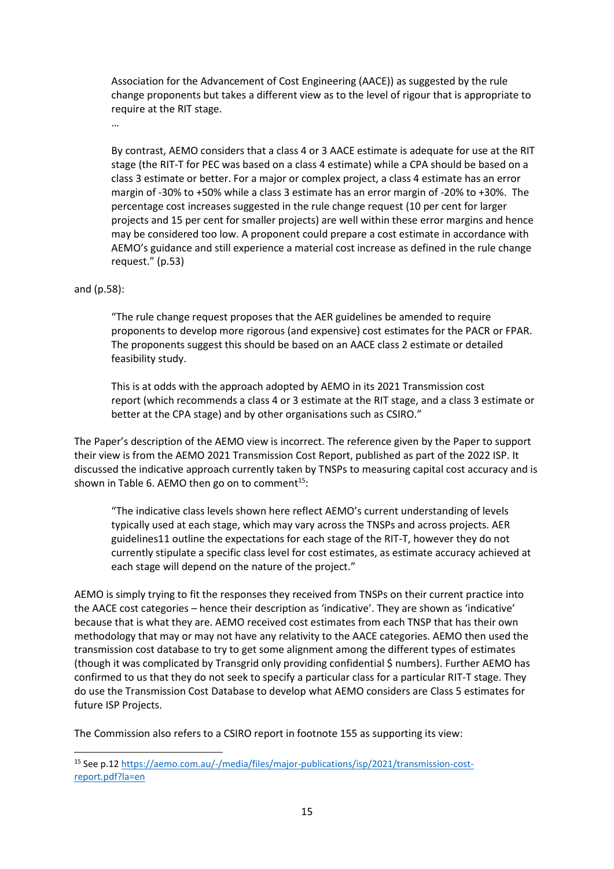Association for the Advancement of Cost Engineering (AACE)) as suggested by the rule change proponents but takes a different view as to the level of rigour that is appropriate to require at the RIT stage.

By contrast, AEMO considers that a class 4 or 3 AACE estimate is adequate for use at the RIT stage (the RIT-T for PEC was based on a class 4 estimate) while a CPA should be based on a class 3 estimate or better. For a major or complex project, a class 4 estimate has an error margin of -30% to +50% while a class 3 estimate has an error margin of -20% to +30%. The percentage cost increases suggested in the rule change request (10 per cent for larger projects and 15 per cent for smaller projects) are well within these error margins and hence may be considered too low. A proponent could prepare a cost estimate in accordance with AEMO's guidance and still experience a material cost increase as defined in the rule change request." (p.53)

### and (p.58):

…

"The rule change request proposes that the AER guidelines be amended to require proponents to develop more rigorous (and expensive) cost estimates for the PACR or FPAR. The proponents suggest this should be based on an AACE class 2 estimate or detailed feasibility study.

This is at odds with the approach adopted by AEMO in its 2021 Transmission cost report (which recommends a class 4 or 3 estimate at the RIT stage, and a class 3 estimate or better at the CPA stage) and by other organisations such as CSIRO."

The Paper's description of the AEMO view is incorrect. The reference given by the Paper to support their view is from the AEMO 2021 Transmission Cost Report, published as part of the 2022 ISP. It discussed the indicative approach currently taken by TNSPs to measuring capital cost accuracy and is shown in Table 6. AEMO then go on to comment<sup>15</sup>:

"The indicative class levels shown here reflect AEMO's current understanding of levels typically used at each stage, which may vary across the TNSPs and across projects. AER guidelines11 outline the expectations for each stage of the RIT-T, however they do not currently stipulate a specific class level for cost estimates, as estimate accuracy achieved at each stage will depend on the nature of the project."

AEMO is simply trying to fit the responses they received from TNSPs on their current practice into the AACE cost categories – hence their description as 'indicative'. They are shown as 'indicative' because that is what they are. AEMO received cost estimates from each TNSP that has their own methodology that may or may not have any relativity to the AACE categories. AEMO then used the transmission cost database to try to get some alignment among the different types of estimates (though it was complicated by Transgrid only providing confidential \$ numbers). Further AEMO has confirmed to us that they do not seek to specify a particular class for a particular RIT-T stage. They do use the Transmission Cost Database to develop what AEMO considers are Class 5 estimates for future ISP Projects.

The Commission also refers to a CSIRO report in footnote 155 as supporting its view:

<sup>15</sup> See p.12 [https://aemo.com.au/-/media/files/major-publications/isp/2021/transmission-cost](https://aemo.com.au/-/media/files/major-publications/isp/2021/transmission-cost-report.pdf?la=en)[report.pdf?la=en](https://aemo.com.au/-/media/files/major-publications/isp/2021/transmission-cost-report.pdf?la=en)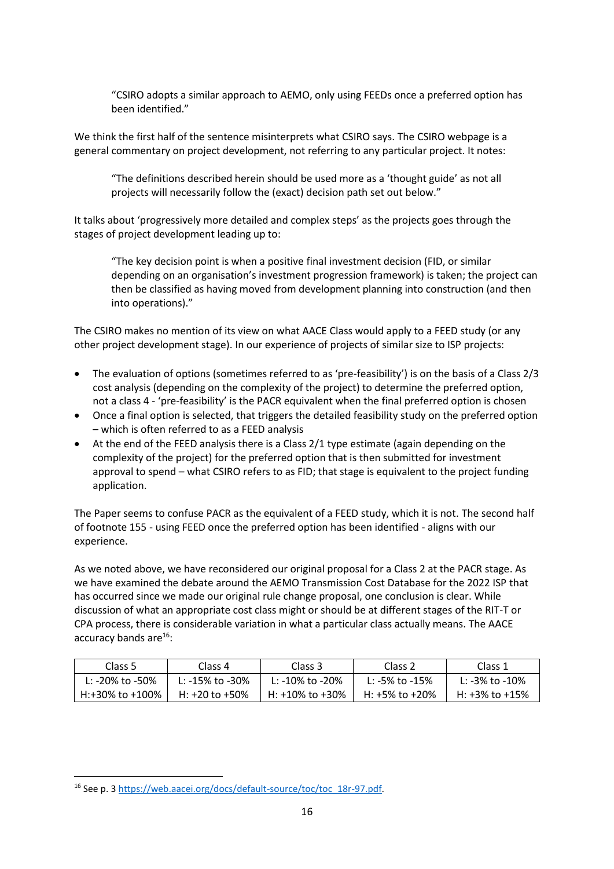"CSIRO adopts a similar approach to AEMO, only using FEEDs once a preferred option has been identified."

We think the first half of the sentence misinterprets what CSIRO says. The CSIRO webpage is a general commentary on project development, not referring to any particular project. It notes:

"The definitions described herein should be used more as a 'thought guide' as not all projects will necessarily follow the (exact) decision path set out below."

It talks about 'progressively more detailed and complex steps' as the projects goes through the stages of project development leading up to:

"The key decision point is when a positive final investment decision (FID, or similar depending on an organisation's investment progression framework) is taken; the project can then be classified as having moved from development planning into construction (and then into operations)."

The CSIRO makes no mention of its view on what AACE Class would apply to a FEED study (or any other project development stage). In our experience of projects of similar size to ISP projects:

- The evaluation of options (sometimes referred to as 'pre-feasibility') is on the basis of a Class 2/3 cost analysis (depending on the complexity of the project) to determine the preferred option, not a class 4 - 'pre-feasibility' is the PACR equivalent when the final preferred option is chosen
- Once a final option is selected, that triggers the detailed feasibility study on the preferred option – which is often referred to as a FEED analysis
- At the end of the FEED analysis there is a Class 2/1 type estimate (again depending on the complexity of the project) for the preferred option that is then submitted for investment approval to spend – what CSIRO refers to as FID; that stage is equivalent to the project funding application.

The Paper seems to confuse PACR as the equivalent of a FEED study, which it is not. The second half of footnote 155 - using FEED once the preferred option has been identified - aligns with our experience.

As we noted above, we have reconsidered our original proposal for a Class 2 at the PACR stage. As we have examined the debate around the AEMO Transmission Cost Database for the 2022 ISP that has occurred since we made our original rule change proposal, one conclusion is clear. While discussion of what an appropriate cost class might or should be at different stages of the RIT-T or CPA process, there is considerable variation in what a particular class actually means. The AACE accuracy bands are $16$ :

| Class 5         | Class 4               | Class 3               | Class <sub>2</sub> | Class 1        |
|-----------------|-----------------------|-----------------------|--------------------|----------------|
| L: -20% to -50% | L: $-15\%$ to $-30\%$ | L: $-10\%$ to $-20\%$ | L: -5% to -15%     | L: -3% to -10% |
| H:+30% to +100% | H: $+20$ to $+50\%$   | H: +10% to +30%       | H: +5% to +20%     | H: +3% to +15% |

<sup>16</sup> See p. 3 [https://web.aacei.org/docs/default-source/toc/toc\\_18r-97.pdf.](https://web.aacei.org/docs/default-source/toc/toc_18r-97.pdf)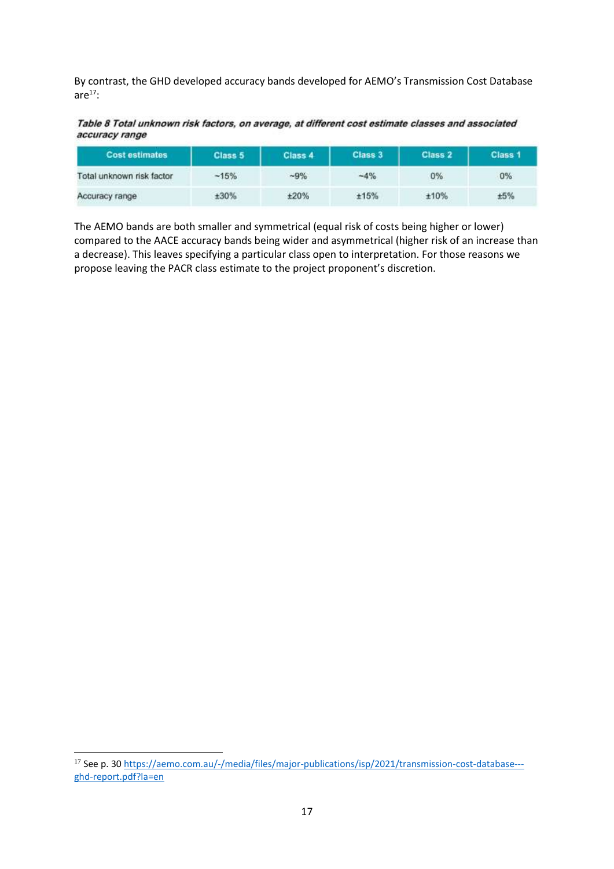By contrast, the GHD developed accuracy bands developed for AEMO's Transmission Cost Database are $17$ :

Table 8 Total unknown risk factors, on average, at different cost estimate classes and associated accuracy range

| <b>Cost estimates</b>                                                                                                                                                                                                                                      | Class 5 | Class 4                     | Class 3 | Class 2 | Class <sub>1</sub> |
|------------------------------------------------------------------------------------------------------------------------------------------------------------------------------------------------------------------------------------------------------------|---------|-----------------------------|---------|---------|--------------------|
| Total unknown risk factor<br>the product of the control of the control of the control of the control of the control of the control of the control of the control of the control of the control of the control of the control of the control of the control | $-15%$  | $-9%$                       | $-4%$   | 0%      | 0%                 |
| Accuracy range                                                                                                                                                                                                                                             | ±30%    | ±20%<br><b>CARL COMPANY</b> | ±15%    | ±10%    | ±5%<br>2020/05/08  |

The AEMO bands are both smaller and symmetrical (equal risk of costs being higher or lower) compared to the AACE accuracy bands being wider and asymmetrical (higher risk of an increase than a decrease). This leaves specifying a particular class open to interpretation. For those reasons we propose leaving the PACR class estimate to the project proponent's discretion.

<sup>17</sup> See p. 30 [https://aemo.com.au/-/media/files/major-publications/isp/2021/transmission-cost-database--](https://aemo.com.au/-/media/files/major-publications/isp/2021/transmission-cost-database---ghd-report.pdf?la=en) [ghd-report.pdf?la=en](https://aemo.com.au/-/media/files/major-publications/isp/2021/transmission-cost-database---ghd-report.pdf?la=en)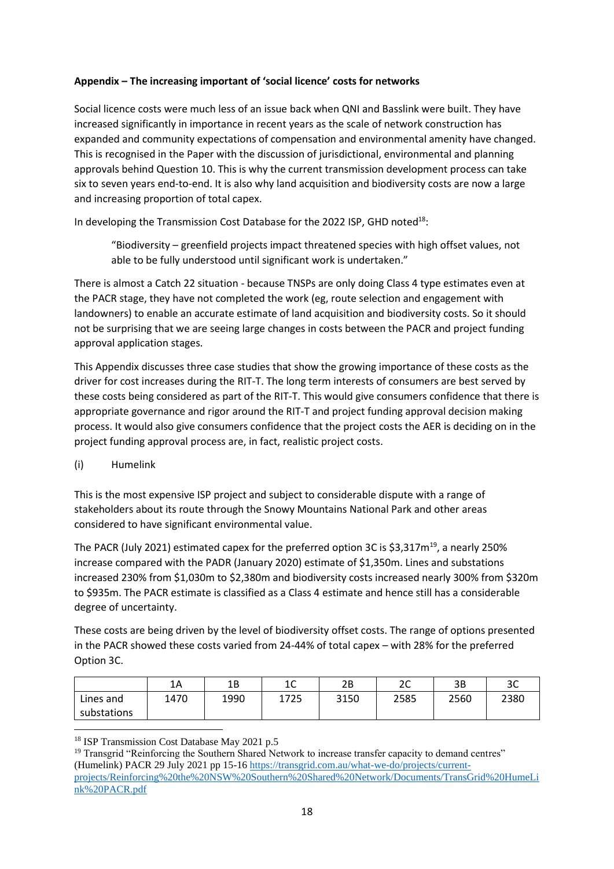## **Appendix – The increasing important of 'social licence' costs for networks**

Social licence costs were much less of an issue back when QNI and Basslink were built. They have increased significantly in importance in recent years as the scale of network construction has expanded and community expectations of compensation and environmental amenity have changed. This is recognised in the Paper with the discussion of jurisdictional, environmental and planning approvals behind Question 10. This is why the current transmission development process can take six to seven years end-to-end. It is also why land acquisition and biodiversity costs are now a large and increasing proportion of total capex.

In developing the Transmission Cost Database for the 2022 ISP, GHD noted<sup>18</sup>:

"Biodiversity – greenfield projects impact threatened species with high offset values, not able to be fully understood until significant work is undertaken."

There is almost a Catch 22 situation - because TNSPs are only doing Class 4 type estimates even at the PACR stage, they have not completed the work (eg, route selection and engagement with landowners) to enable an accurate estimate of land acquisition and biodiversity costs. So it should not be surprising that we are seeing large changes in costs between the PACR and project funding approval application stages.

This Appendix discusses three case studies that show the growing importance of these costs as the driver for cost increases during the RIT-T. The long term interests of consumers are best served by these costs being considered as part of the RIT-T. This would give consumers confidence that there is appropriate governance and rigor around the RIT-T and project funding approval decision making process. It would also give consumers confidence that the project costs the AER is deciding on in the project funding approval process are, in fact, realistic project costs.

(i) Humelink

This is the most expensive ISP project and subject to considerable dispute with a range of stakeholders about its route through the Snowy Mountains National Park and other areas considered to have significant environmental value.

The PACR (July 2021) estimated capex for the preferred option 3C is \$3,317 $m^{19}$ , a nearly 250% increase compared with the PADR (January 2020) estimate of \$1,350m. Lines and substations increased 230% from \$1,030m to \$2,380m and biodiversity costs increased nearly 300% from \$320m to \$935m. The PACR estimate is classified as a Class 4 estimate and hence still has a considerable degree of uncertainty.

These costs are being driven by the level of biodiversity offset costs. The range of options presented in the PACR showed these costs varied from 24-44% of total capex – with 28% for the preferred Option 3C.

|             | 1A   | 1В   | $\sim$<br>ᅭ | 2B   | $\sim$<br>∼ | 3B   | 3C   |
|-------------|------|------|-------------|------|-------------|------|------|
| Lines and   | 1470 | 1990 | 1725        | 3150 | 2585        | 2560 | 2380 |
| substations |      |      |             |      |             |      |      |

<sup>&</sup>lt;sup>18</sup> ISP Transmission Cost Database May 2021 p.5

<sup>&</sup>lt;sup>19</sup> Transgrid "Reinforcing the Southern Shared Network to increase transfer capacity to demand centres" (Humelink) PACR 29 July 2021 pp 15-16 [https://transgrid.com.au/what-we-do/projects/current](https://transgrid.com.au/what-we-do/projects/current-projects/Reinforcing%20the%20NSW%20Southern%20Shared%20Network/Documents/TransGrid%20HumeLink%20PACR.pdf)[projects/Reinforcing%20the%20NSW%20Southern%20Shared%20Network/Documents/TransGrid%20HumeLi](https://transgrid.com.au/what-we-do/projects/current-projects/Reinforcing%20the%20NSW%20Southern%20Shared%20Network/Documents/TransGrid%20HumeLink%20PACR.pdf) [nk%20PACR.pdf](https://transgrid.com.au/what-we-do/projects/current-projects/Reinforcing%20the%20NSW%20Southern%20Shared%20Network/Documents/TransGrid%20HumeLink%20PACR.pdf)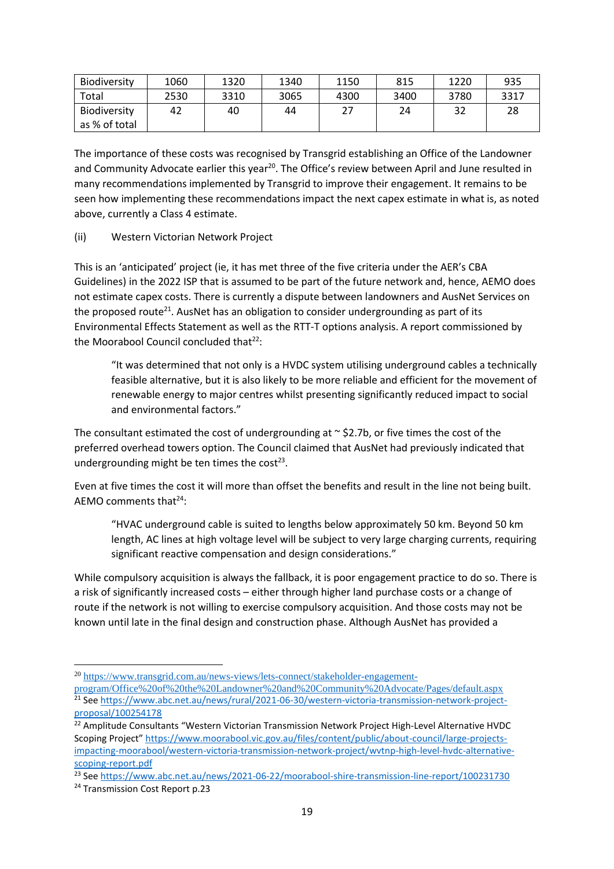| Biodiversity                         | 1060 | 1320 | 1340 | 1150 | 815  | 1220 | 935  |
|--------------------------------------|------|------|------|------|------|------|------|
| Total                                | 2530 | 3310 | 3065 | 4300 | 3400 | 3780 | 3317 |
| <b>Biodiversity</b><br>as % of total | 42   | 40   | 44   | 27   | 24   | 32   | 28   |

The importance of these costs was recognised by Transgrid establishing an Office of the Landowner and Community Advocate earlier this year<sup>20</sup>. The Office's review between April and June resulted in many recommendations implemented by Transgrid to improve their engagement. It remains to be seen how implementing these recommendations impact the next capex estimate in what is, as noted above, currently a Class 4 estimate.

(ii) Western Victorian Network Project

This is an 'anticipated' project (ie, it has met three of the five criteria under the AER's CBA Guidelines) in the 2022 ISP that is assumed to be part of the future network and, hence, AEMO does not estimate capex costs. There is currently a dispute between landowners and AusNet Services on the proposed route<sup>21</sup>. AusNet has an obligation to consider undergrounding as part of its Environmental Effects Statement as well as the RTT-T options analysis. A report commissioned by the Moorabool Council concluded that $^{22}$ :

"It was determined that not only is a HVDC system utilising underground cables a technically feasible alternative, but it is also likely to be more reliable and efficient for the movement of renewable energy to major centres whilst presenting significantly reduced impact to social and environmental factors."

The consultant estimated the cost of undergrounding at  $\sim$  \$2.7b, or five times the cost of the preferred overhead towers option. The Council claimed that AusNet had previously indicated that undergrounding might be ten times the cost<sup>23</sup>.

Even at five times the cost it will more than offset the benefits and result in the line not being built. AEMO comments that $24$ :

"HVAC underground cable is suited to lengths below approximately 50 km. Beyond 50 km length, AC lines at high voltage level will be subject to very large charging currents, requiring significant reactive compensation and design considerations."

While compulsory acquisition is always the fallback, it is poor engagement practice to do so. There is a risk of significantly increased costs – either through higher land purchase costs or a change of route if the network is not willing to exercise compulsory acquisition. And those costs may not be known until late in the final design and construction phase. Although AusNet has provided a

<sup>20</sup> [https://www.transgrid.com.au/news-views/lets-connect/stakeholder-engagement-](https://www.transgrid.com.au/news-views/lets-connect/stakeholder-engagement-program/Office%20of%20the%20Landowner%20and%20Community%20Advocate/Pages/default.aspx)

[program/Office%20of%20the%20Landowner%20and%20Community%20Advocate/Pages/default.aspx](https://www.transgrid.com.au/news-views/lets-connect/stakeholder-engagement-program/Office%20of%20the%20Landowner%20and%20Community%20Advocate/Pages/default.aspx) <sup>21</sup> Se[e https://www.abc.net.au/news/rural/2021-06-30/western-victoria-transmission-network-project](https://www.abc.net.au/news/rural/2021-06-30/western-victoria-transmission-network-project-proposal/100254178)[proposal/100254178](https://www.abc.net.au/news/rural/2021-06-30/western-victoria-transmission-network-project-proposal/100254178)

<sup>&</sup>lt;sup>22</sup> Amplitude Consultants "Western Victorian Transmission Network Project High-Level Alternative HVDC Scoping Project" [https://www.moorabool.vic.gov.au/files/content/public/about-council/large-projects](https://www.moorabool.vic.gov.au/files/content/public/about-council/large-projects-impacting-moorabool/western-victoria-transmission-network-project/wvtnp-high-level-hvdc-alternative-scoping-report.pdf)[impacting-moorabool/western-victoria-transmission-network-project/wvtnp-high-level-hvdc-alternative](https://www.moorabool.vic.gov.au/files/content/public/about-council/large-projects-impacting-moorabool/western-victoria-transmission-network-project/wvtnp-high-level-hvdc-alternative-scoping-report.pdf)[scoping-report.pdf](https://www.moorabool.vic.gov.au/files/content/public/about-council/large-projects-impacting-moorabool/western-victoria-transmission-network-project/wvtnp-high-level-hvdc-alternative-scoping-report.pdf)

<sup>23</sup> Se[e https://www.abc.net.au/news/2021-06-22/moorabool-shire-transmission-line-report/100231730](https://www.abc.net.au/news/2021-06-22/moorabool-shire-transmission-line-report/100231730)

<sup>&</sup>lt;sup>24</sup> Transmission Cost Report p.23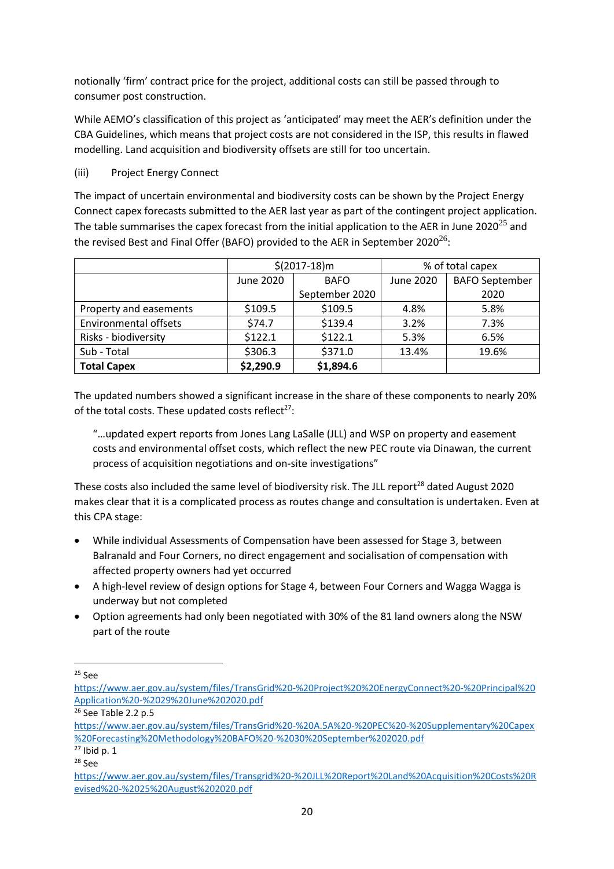notionally 'firm' contract price for the project, additional costs can still be passed through to consumer post construction.

While AEMO's classification of this project as 'anticipated' may meet the AER's definition under the CBA Guidelines, which means that project costs are not considered in the ISP, this results in flawed modelling. Land acquisition and biodiversity offsets are still for too uncertain.

(iii) Project Energy Connect

The impact of uncertain environmental and biodiversity costs can be shown by the Project Energy Connect capex forecasts submitted to the AER last year as part of the contingent project application. The table summarises the capex forecast from the initial application to the AER in June 2020<sup>25</sup> and the revised Best and Final Offer (BAFO) provided to the AER in September 2020<sup>26</sup>:

|                              | $$(2017-18)m$$ |                |           | % of total capex      |  |
|------------------------------|----------------|----------------|-----------|-----------------------|--|
|                              | June 2020      | <b>BAFO</b>    | June 2020 | <b>BAFO September</b> |  |
|                              |                | September 2020 |           | 2020                  |  |
| Property and easements       | \$109.5        | \$109.5        | 4.8%      | 5.8%                  |  |
| <b>Environmental offsets</b> | \$74.7         | \$139.4        | 3.2%      | 7.3%                  |  |
| Risks - biodiversity         | \$122.1        | \$122.1        | 5.3%      | 6.5%                  |  |
| Sub - Total                  | \$306.3        | \$371.0        | 13.4%     | 19.6%                 |  |
| <b>Total Capex</b>           | \$2,290.9      | \$1,894.6      |           |                       |  |

The updated numbers showed a significant increase in the share of these components to nearly 20% of the total costs. These updated costs reflect<sup>27</sup>:

"…updated expert reports from Jones Lang LaSalle (JLL) and WSP on property and easement costs and environmental offset costs, which reflect the new PEC route via Dinawan, the current process of acquisition negotiations and on-site investigations"

These costs also included the same level of biodiversity risk. The JLL report<sup>28</sup> dated August 2020 makes clear that it is a complicated process as routes change and consultation is undertaken. Even at this CPA stage:

- While individual Assessments of Compensation have been assessed for Stage 3, between Balranald and Four Corners, no direct engagement and socialisation of compensation with affected property owners had yet occurred
- A high-level review of design options for Stage 4, between Four Corners and Wagga Wagga is underway but not completed
- Option agreements had only been negotiated with 30% of the 81 land owners along the NSW part of the route

<sup>26</sup> See Table 2.2 p.5

<sup>25</sup> See

[https://www.aer.gov.au/system/files/TransGrid%20-%20Project%20%20EnergyConnect%20-%20Principal%20](https://www.aer.gov.au/system/files/TransGrid%20-%20Project%20%20EnergyConnect%20-%20Principal%20Application%20-%2029%20June%202020.pdf) [Application%20-%2029%20June%202020.pdf](https://www.aer.gov.au/system/files/TransGrid%20-%20Project%20%20EnergyConnect%20-%20Principal%20Application%20-%2029%20June%202020.pdf)

[https://www.aer.gov.au/system/files/TransGrid%20-%20A.5A%20-%20PEC%20-%20Supplementary%20Capex](https://www.aer.gov.au/system/files/TransGrid%20-%20A.5A%20-%20PEC%20-%20Supplementary%20Capex%20Forecasting%20Methodology%20BAFO%20-%2030%20September%202020.pdf) [%20Forecasting%20Methodology%20BAFO%20-%2030%20September%202020.pdf](https://www.aer.gov.au/system/files/TransGrid%20-%20A.5A%20-%20PEC%20-%20Supplementary%20Capex%20Forecasting%20Methodology%20BAFO%20-%2030%20September%202020.pdf)

 $27$  Ibid p. 1

<sup>28</sup> See

[https://www.aer.gov.au/system/files/Transgrid%20-%20JLL%20Report%20Land%20Acquisition%20Costs%20R](https://www.aer.gov.au/system/files/Transgrid%20-%20JLL%20Report%20Land%20Acquisition%20Costs%20Revised%20-%2025%20August%202020.pdf) [evised%20-%2025%20August%202020.pdf](https://www.aer.gov.au/system/files/Transgrid%20-%20JLL%20Report%20Land%20Acquisition%20Costs%20Revised%20-%2025%20August%202020.pdf)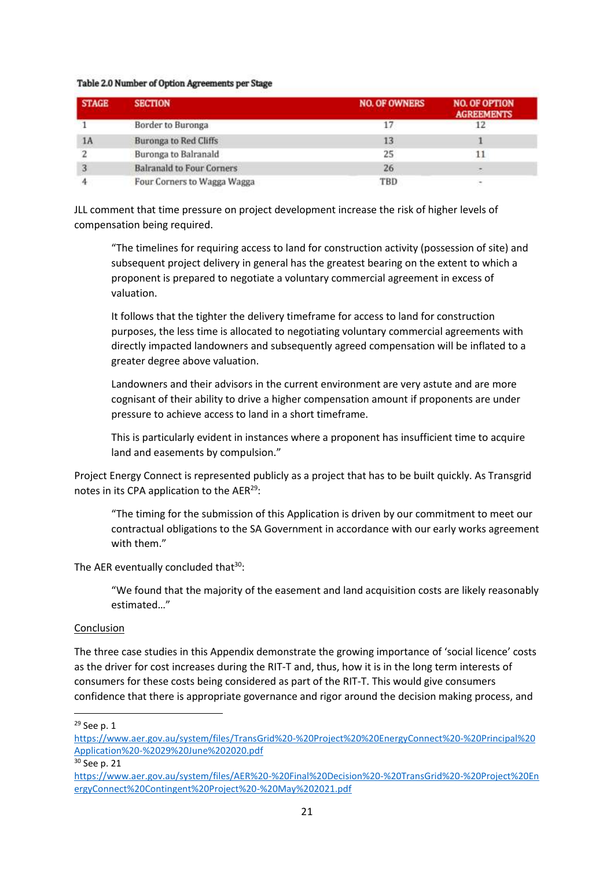#### Table 2.0 Number of Option Agreements per Stage

| <b>STAGE</b> | <b>SECTION</b>                   | <b>NO. OF OWNERS</b> | <b>NO. OF OPTION</b><br><b>AGREEMENTS</b> |
|--------------|----------------------------------|----------------------|-------------------------------------------|
|              | Border to Buronga                |                      |                                           |
| 1A           | <b>Buronga to Red Cliffs</b>     | 13                   |                                           |
|              | Buronga to Balranald             | 25                   |                                           |
|              | <b>Balranald to Four Corners</b> | 26                   | into                                      |
|              | Four Corners to Wagga Wagga      | TBD                  |                                           |

JLL comment that time pressure on project development increase the risk of higher levels of compensation being required.

"The timelines for requiring access to land for construction activity (possession of site) and subsequent project delivery in general has the greatest bearing on the extent to which a proponent is prepared to negotiate a voluntary commercial agreement in excess of valuation.

It follows that the tighter the delivery timeframe for access to land for construction purposes, the less time is allocated to negotiating voluntary commercial agreements with directly impacted landowners and subsequently agreed compensation will be inflated to a greater degree above valuation.

Landowners and their advisors in the current environment are very astute and are more cognisant of their ability to drive a higher compensation amount if proponents are under pressure to achieve access to land in a short timeframe.

This is particularly evident in instances where a proponent has insufficient time to acquire land and easements by compulsion."

Project Energy Connect is represented publicly as a project that has to be built quickly. As Transgrid notes in its CPA application to the AER<sup>29</sup>:

"The timing for the submission of this Application is driven by our commitment to meet our contractual obligations to the SA Government in accordance with our early works agreement with them."

The AER eventually concluded that  $30$ :

"We found that the majority of the easement and land acquisition costs are likely reasonably estimated…"

### **Conclusion**

The three case studies in this Appendix demonstrate the growing importance of 'social licence' costs as the driver for cost increases during the RIT-T and, thus, how it is in the long term interests of consumers for these costs being considered as part of the RIT-T. This would give consumers confidence that there is appropriate governance and rigor around the decision making process, and

<sup>29</sup> See p. 1

[https://www.aer.gov.au/system/files/TransGrid%20-%20Project%20%20EnergyConnect%20-%20Principal%20](https://www.aer.gov.au/system/files/TransGrid%20-%20Project%20%20EnergyConnect%20-%20Principal%20Application%20-%2029%20June%202020.pdf) [Application%20-%2029%20June%202020.pdf](https://www.aer.gov.au/system/files/TransGrid%20-%20Project%20%20EnergyConnect%20-%20Principal%20Application%20-%2029%20June%202020.pdf)

<sup>30</sup> See p. 21

[https://www.aer.gov.au/system/files/AER%20-%20Final%20Decision%20-%20TransGrid%20-%20Project%20En](https://www.aer.gov.au/system/files/AER%20-%20Final%20Decision%20-%20TransGrid%20-%20Project%20EnergyConnect%20Contingent%20Project%20-%20May%202021.pdf) [ergyConnect%20Contingent%20Project%20-%20May%202021.pdf](https://www.aer.gov.au/system/files/AER%20-%20Final%20Decision%20-%20TransGrid%20-%20Project%20EnergyConnect%20Contingent%20Project%20-%20May%202021.pdf)